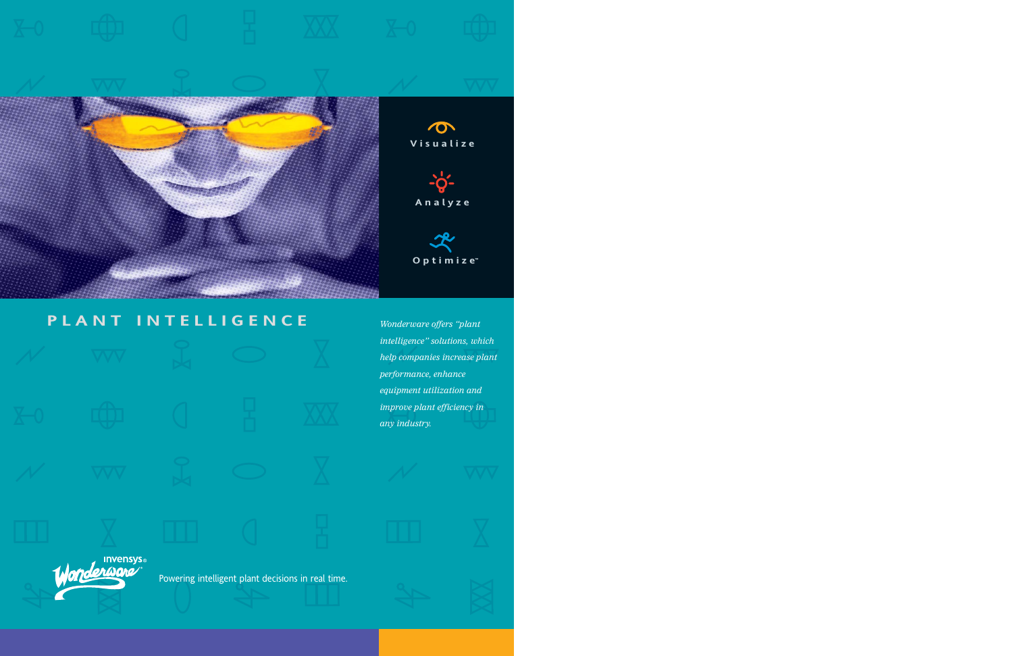

# **PLANT INTELLIGENCE** Invensys® Powering intelligent plant decisions in real time.

*Wonderware offers "plant intelligence" solutions, which help companies increase plant performance, enhance equipment utilization and improve plant efficiency in any industry.*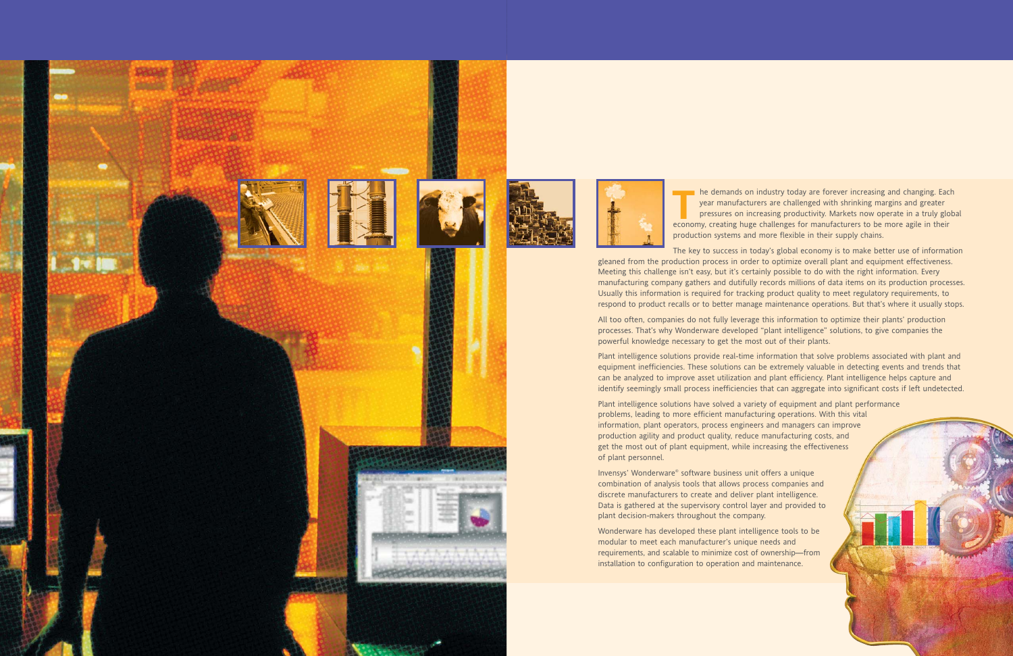



**T**he demands on industry today are forever increasing and changing. Each year manufacturers are challenged with shrinking margins and greater pressures on increasing productivity. Markets now operate in a truly global economy, creating huge challenges for manufacturers to be more agile in their production systems and more flexible in their supply chains.

The key to success in today's global economy is to make better use of information

gleaned from the production process in order to optimize overall plant and equipment effectiveness. Meeting this challenge isn't easy, but it's certainly possible to do with the right information. Every manufacturing company gathers and dutifully records millions of data items on its production processes. Usually this information is required for tracking product quality to meet regulatory requirements, to respond to product recalls or to better manage maintenance operations. But that's where it usually stops.

All too often, companies do not fully leverage this information to optimize their plants' production processes. That's why Wonderware developed "plant intelligence" solutions, to give companies the powerful knowledge necessary to get the most out of their plants.

Plant intelligence solutions provide real-time information that solve problems associated with plant and equipment inefficiencies. These solutions can be extremely valuable in detecting events and trends that can be analyzed to improve asset utilization and plant efficiency. Plant intelligence helps capture and identify seemingly small process inefficiencies that can aggregate into significant costs if left undetected.

Plant intelligence solutions have solved a variety of equipment and plant performance problems, leading to more efficient manufacturing operations. With this vital information, plant operators, process engineers and managers can improve production agility and product quality, reduce manufacturing costs, and get the most out of plant equipment, while increasing the effectiveness of plant personnel.

Invensys' Wonderware® software business unit offers a unique combination of analysis tools that allows process companies and discrete manufacturers to create and deliver plant intelligence. Data is gathered at the supervisory control layer and provided to plant decision-makers throughout the company.

Wonderware has developed these plant intelligence tools to be modular to meet each manufacturer's unique needs and requirements, and scalable to minimize cost of ownership—from installation to configuration to operation and maintenance.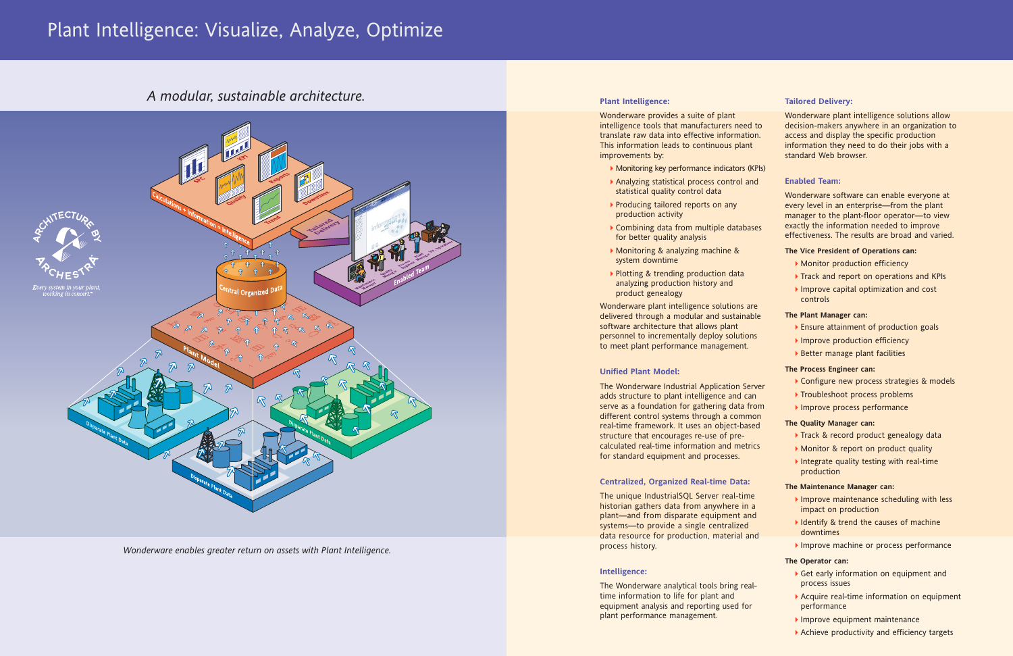### **Plant Intelligence:**

Wonderware provides a suite of plant intelligence tools that manufacturers need translate raw data into effective information. This information leads to continuous pla improvements by:

- Monitoring key performance indicators
- Analyzing statistical process control statistical quality control data
- ▶ Producing tailored reports on any production activity
- $\blacktriangleright$  Combining data from multiple datal for better quality analysis
- Monitoring & analyzing machine & system downtime
- Plotting & trending production data analyzing production history and product genealogy

Wonderware plant intelligence solutions delivered through a modular and sustain software architecture that allows plant personnel to incrementally deploy soluti to meet plant performance managemen

The Wonderware Industrial Application adds structure to plant intelligence and serve as a foundation for gathering data different control systems through a com real-time framework. It uses an object-based structure that encourages re-use of precalculated real-time information and me for standard equipment and processes.

The unique IndustrialSQL Server real-ti historian gathers data from anywhere in plant—and from disparate equipment systems-to provide a single centralize data resource for production, material process history.

The Wonderware analytical tools bring realtime information to life for plant and equipment analysis and reporting used for plant performance management.

### **Unified Plant Model:**

### **Centralized, Organized Real-time Data:**

### **Intelligence:**

| ed to<br>ation.<br>ant | Wonderware plant intelligence solutions allow<br>decision-makers anywhere in an organization to<br>access and display the specific production<br>information they need to do their jobs with a<br>standard Web browser.                   |
|------------------------|-------------------------------------------------------------------------------------------------------------------------------------------------------------------------------------------------------------------------------------------|
| S (KPIs)               |                                                                                                                                                                                                                                           |
| and                    | <b>Enabled Team:</b>                                                                                                                                                                                                                      |
| bases                  | Wonderware software can enable everyone at<br>every level in an enterprise-from the plant<br>manager to the plant-floor operator-to view<br>exactly the information needed to improve<br>effectiveness. The results are broad and varied. |
|                        | The Vice President of Operations can:                                                                                                                                                                                                     |
|                        | Monitor production efficiency                                                                                                                                                                                                             |
|                        | Track and report on operations and KPIs                                                                                                                                                                                                   |
|                        | Improve capital optimization and cost<br>controls                                                                                                                                                                                         |
| are<br><b>nable</b>    | The Plant Manager can:                                                                                                                                                                                                                    |
|                        | Ensure attainment of production goals                                                                                                                                                                                                     |
| ions                   | Improve production efficiency                                                                                                                                                                                                             |
| t.                     | Better manage plant facilities                                                                                                                                                                                                            |
|                        | The Process Engineer can:                                                                                                                                                                                                                 |
|                        | Configure new process strategies & models                                                                                                                                                                                                 |
| Server<br>can          | Troubleshoot process problems                                                                                                                                                                                                             |
| from                   | Improve process performance                                                                                                                                                                                                               |
| ımon                   | The Quality Manager can:                                                                                                                                                                                                                  |
| ased                   | Track & record product genealogy data                                                                                                                                                                                                     |
| etrics                 | Monitor & report on product quality                                                                                                                                                                                                       |
|                        | Integrate quality testing with real-time                                                                                                                                                                                                  |
|                        | production                                                                                                                                                                                                                                |
| a:                     | <b>The Maintenance Manager can:</b>                                                                                                                                                                                                       |
| me                     | Improve maintenance scheduling with less                                                                                                                                                                                                  |
| n a                    | impact on production                                                                                                                                                                                                                      |
| and<br>đ               | I Identify & trend the causes of machine                                                                                                                                                                                                  |
| and                    | downtimes                                                                                                                                                                                                                                 |
|                        | Improve machine or process performance                                                                                                                                                                                                    |
|                        | The Operator can:                                                                                                                                                                                                                         |
| eal-                   | Get early information on equipment and<br>process issues                                                                                                                                                                                  |
| ior                    | Acquire real-time information on equipment<br>performance                                                                                                                                                                                 |
|                        | Improve equipment maintenance                                                                                                                                                                                                             |
|                        | Achieve productivity and efficiency targets                                                                                                                                                                                               |

### **Tailored Delivery:**

# Plant Intelligence: Visualize, Analyze, Optimize

*Wonderware enables greater return on assets with Plant Intelligence.*

## *A modular, sustainable architecture.*

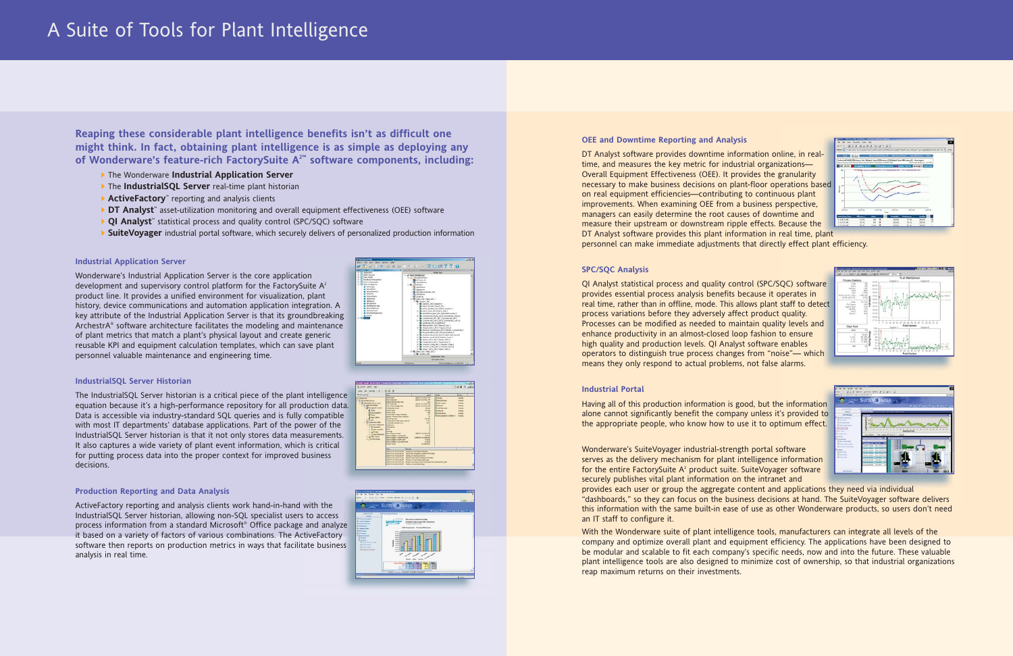### **Industrial Application Server**

Wonderware's Industrial Application Server is the core application development and supervisory control platform for the FactorySuite  $A<sup>2</sup>$ product line. It provides a unified environment for visualization, plant history, device communications and automation application integration. A key attribute of the Industrial Application Server is that its groundbreaking ArchestrA® software architecture facilitates the modeling and maintenance of plant metrics that match a plant's physical layout and create generic reusable KPI and equipment calculation templates, which can save plant personnel valuable maintenance and engineering time.



### **IndustrialSQL Server Historian**

The IndustrialSQL Server historian is a critical piece of the plant intelligence equation because it's a high-performance repository for all production data. Data is accessible via industry-standard SQL queries and is fully compatible with most IT departments' database applications. Part of the power of the IndustrialSQL Server historian is that it not only stores data measurements. It also captures a wide variety of plant event information, which is critical for putting process data into the proper context for improved business decisions.



### **Production Reporting and Data Analysis**

ActiveFactory reporting and analysis clients work hand-in-hand with the IndustrialSQL Server historian, allowing non-SQL specialist users to access process information from a standard Microsoft® Office package and analyze it based on a variety of factors of various combinations. The ActiveFactory software then reports on production metrics in ways that facilitate business analysis in real time.



### **OEE and Downtime Reporting and Analysis**

DT Analyst software provides downtime information online, in realtime, and measures the key metric for industrial organizations— Overall Equipment Effectiveness (OEE). It provides the granularity necessary to make business decisions on plant-floor operations based on real equipment efficiencies—contributing to continuous plant improvements. When examining OEE from a business perspective, managers can easily determine the root causes of downtime and measure their upstream or downstream ripple effects. Because the DT Analyst software provides this plant information in real time, plant personnel can make immediate adjustments that directly effect plant efficiency.

- The Wonderware **Industrial Application Server**
- The **IndustrialSQL Server** real-time plant historian
- **ActiveFactory**™ reporting and analysis clients
- **DT Analyst**™ asset-utilization monitoring and overall equipment effectiveness (OEE) software
- **QI Analyst**™ statistical process and quality control (SPC/SQC) software
- ▶ **SuiteVoyager** industrial portal software, which securely delivers of personalized production information

### **SPC/SQC Analysis**

QI Analyst statistical process and quality control (SPC/SQC) software provides essential process analysis benefits because it operates in real time, rather than in offline, mode. This allows plant staff to detect process variations before they adversely affect product quality. Processes can be modified as needed to maintain quality levels and enhance productivity in an almost-closed loop fashion to ensure high quality and production levels. QI Analyst software enables operators to distinguish true process changes from "noise"— which means they only respond to actual problems, not false alarms.

### **Industrial Portal**

Having all of this production information is good, but the information alone cannot significantly benefit the company unless it's provided to the appropriate people, who know how to use it to optimum effect.

Wonderware's SuiteVoyager industrial-strength portal software serves as the delivery mechanism for plant intelligence information for the entire FactorySuite  $A<sup>2</sup>$  product suite. SuiteVoyager software securely publishes vital plant information on the intranet and provides each user or group the aggregate content and applications they need via individual "dashboards," so they can focus on the business decisions at hand. The SuiteVoyager software delivers this information with the same built-in ease of use as other Wonderware products, so users don't need an IT staff to configure it.

With the Wonderware suite of plant intelligence tools, manufacturers can integrate all levels of the company and optimize overall plant and equipment efficiency. The applications have been designed to be modular and scalable to fit each company's specific needs, now and into the future. These valuable plant intelligence tools are also designed to minimize cost of ownership, so that industrial organizations reap maximum returns on their investments.







**Reaping these considerable plant intelligence benefits isn't as difficult one might think. In fact, obtaining plant intelligence is as simple as deploying any of Wonderware's feature-rich FactorySuite A2™ software components, including:**